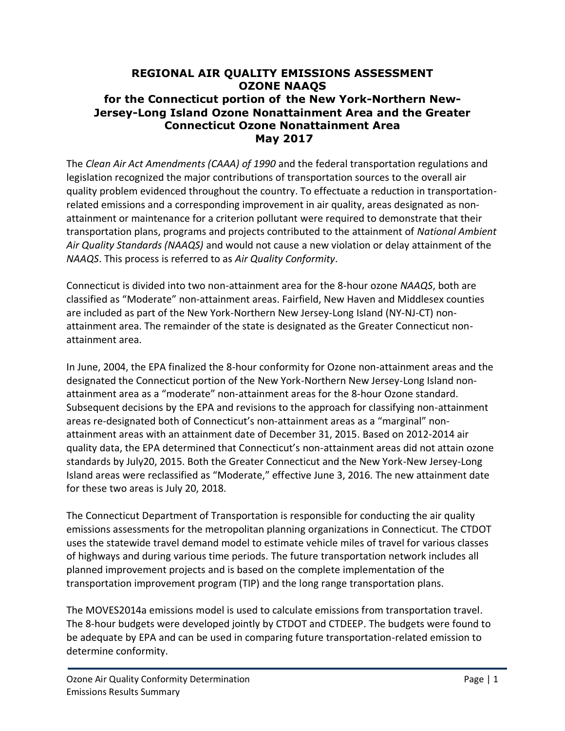## **REGIONAL AIR QUALITY EMISSIONS ASSESSMENT OZONE NAAQS for the Connecticut portion of the New York-Northern New-Jersey-Long Island Ozone Nonattainment Area and the Greater Connecticut Ozone Nonattainment Area May 2017**

The *Clean Air Act Amendments (CAAA) of 1990* and the federal transportation regulations and legislation recognized the major contributions of transportation sources to the overall air quality problem evidenced throughout the country. To effectuate a reduction in transportationrelated emissions and a corresponding improvement in air quality, areas designated as nonattainment or maintenance for a criterion pollutant were required to demonstrate that their transportation plans, programs and projects contributed to the attainment of *National Ambient Air Quality Standards (NAAQS)* and would not cause a new violation or delay attainment of the *NAAQS*. This process is referred to as *Air Quality Conformity*.

Connecticut is divided into two non-attainment area for the 8-hour ozone *NAAQS*, both are classified as "Moderate" non-attainment areas. Fairfield, New Haven and Middlesex counties are included as part of the New York-Northern New Jersey-Long Island (NY-NJ-CT) nonattainment area. The remainder of the state is designated as the Greater Connecticut nonattainment area.

In June, 2004, the EPA finalized the 8-hour conformity for Ozone non-attainment areas and the designated the Connecticut portion of the New York-Northern New Jersey-Long Island nonattainment area as a "moderate" non-attainment areas for the 8-hour Ozone standard. Subsequent decisions by the EPA and revisions to the approach for classifying non-attainment areas re-designated both of Connecticut's non-attainment areas as a "marginal" nonattainment areas with an attainment date of December 31, 2015. Based on 2012-2014 air quality data, the EPA determined that Connecticut's non-attainment areas did not attain ozone standards by July20, 2015. Both the Greater Connecticut and the New York-New Jersey-Long Island areas were reclassified as "Moderate," effective June 3, 2016. The new attainment date for these two areas is July 20, 2018.

The Connecticut Department of Transportation is responsible for conducting the air quality emissions assessments for the metropolitan planning organizations in Connecticut. The CTDOT uses the statewide travel demand model to estimate vehicle miles of travel for various classes of highways and during various time periods. The future transportation network includes all planned improvement projects and is based on the complete implementation of the transportation improvement program (TIP) and the long range transportation plans.

The MOVES2014a emissions model is used to calculate emissions from transportation travel. The 8-hour budgets were developed jointly by CTDOT and CTDEEP. The budgets were found to be adequate by EPA and can be used in comparing future transportation-related emission to determine conformity.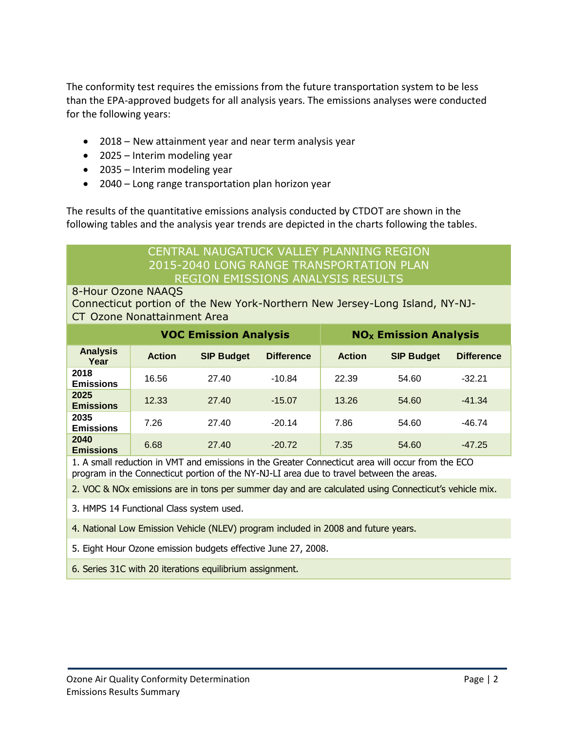The conformity test requires the emissions from the future transportation system to be less than the EPA-approved budgets for all analysis years. The emissions analyses were conducted for the following years:

- 2018 New attainment year and near term analysis year
- 2025 Interim modeling year
- 2035 Interim modeling year
- 2040 Long range transportation plan horizon year

The results of the quantitative emissions analysis conducted by CTDOT are shown in the following tables and the analysis year trends are depicted in the charts following the tables.

## CENTRAL NAUGATUCK VALLEY PLANNING REGION 2015-2040 LONG RANGE TRANSPORTATION PLAN REGION EMISSIONS ANALYSIS RESULTS

#### 8-Hour Ozone NAAQS

Connecticut portion of the New York-Northern New Jersey-Long Island, NY-NJ-CT Ozone Nonattainment Area

|                          |               | <b>VOC Emission Analysis</b> |                   | <b>NO<sub>x</sub> Emission Analysis</b> |                   |                   |
|--------------------------|---------------|------------------------------|-------------------|-----------------------------------------|-------------------|-------------------|
| <b>Analysis</b><br>Year  | <b>Action</b> | <b>SIP Budget</b>            | <b>Difference</b> | <b>Action</b>                           | <b>SIP Budget</b> | <b>Difference</b> |
| 2018<br><b>Emissions</b> | 16.56         | 27.40                        | $-10.84$          | 22.39                                   | 54.60             | $-32.21$          |
| 2025<br><b>Emissions</b> | 12.33         | 27.40                        | $-15.07$          | 13.26                                   | 54.60             | $-41.34$          |
| 2035<br><b>Emissions</b> | 7.26          | 27.40                        | $-20.14$          | 7.86                                    | 54.60             | $-46.74$          |
| 2040<br><b>Emissions</b> | 6.68          | 27.40                        | $-20.72$          | 7.35                                    | 54.60             | $-47.25$          |

1. A small reduction in VMT and emissions in the Greater Connecticut area will occur from the ECO program in the Connecticut portion of the NY-NJ-LI area due to travel between the areas.

2. VOC & NOx emissions are in tons per summer day and are calculated using Connecticut's vehicle mix.

3. HMPS 14 Functional Class system used.

4. National Low Emission Vehicle (NLEV) program included in 2008 and future years.

5. Eight Hour Ozone emission budgets effective June 27, 2008.

6. Series 31C with 20 iterations equilibrium assignment.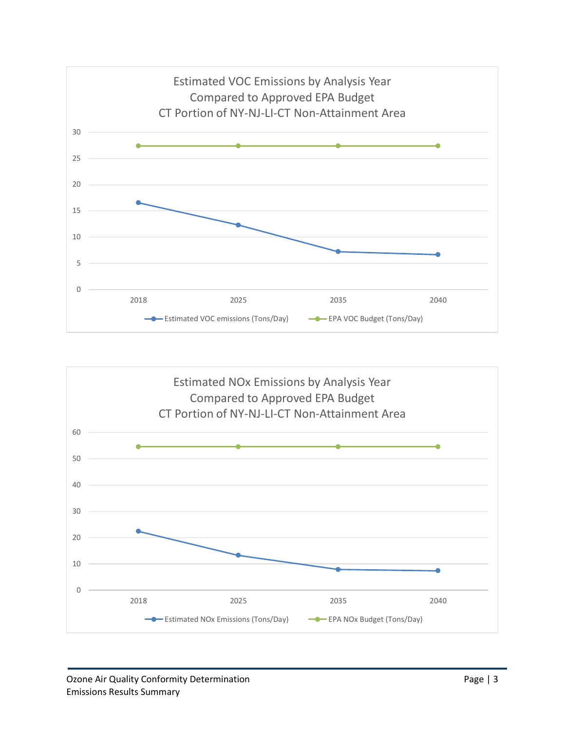

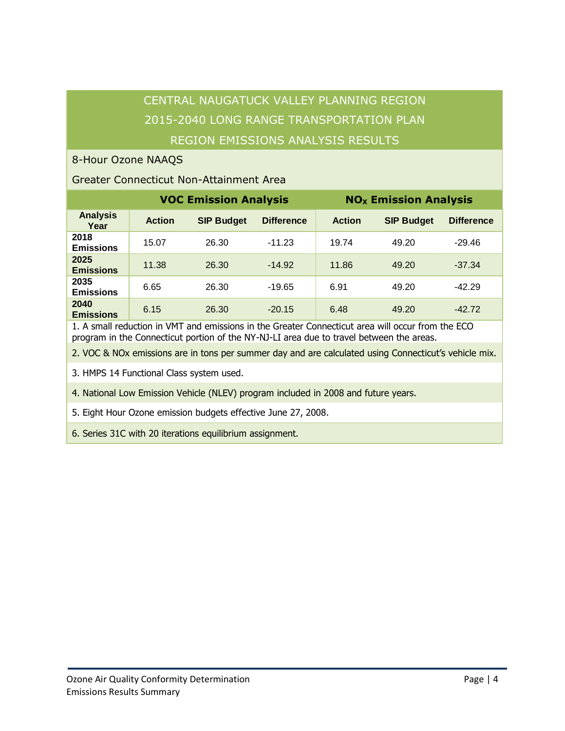# CENTRAL NAUGATUCK VALLEY PLANNING REGION 2015-2040 LONG RANGE TRANSPORTATION PLAN REGION EMISSIONS ANALYSIS RESULTS

### 8-Hour Ozone NAAQS

### Greater Connecticut Non-Attainment Area

|                          | <b>VOC Emission Analysis</b> |                   |                   | <b>NO<sub>x</sub> Emission Analysis</b> |                   |                   |
|--------------------------|------------------------------|-------------------|-------------------|-----------------------------------------|-------------------|-------------------|
| <b>Analysis</b><br>Year  | <b>Action</b>                | <b>SIP Budget</b> | <b>Difference</b> | <b>Action</b>                           | <b>SIP Budget</b> | <b>Difference</b> |
| 2018<br><b>Emissions</b> | 15.07                        | 26.30             | $-11.23$          | 19.74                                   | 49.20             | -29.46            |
| 2025<br><b>Emissions</b> | 11.38                        | 26.30             | $-14.92$          | 11.86                                   | 49.20             | $-37.34$          |
| 2035<br><b>Emissions</b> | 6.65                         | 26.30             | $-19.65$          | 6.91                                    | 49.20             | $-42.29$          |
| 2040<br><b>Emissions</b> | 6.15                         | 26.30             | $-20.15$          | 6.48                                    | 49.20             | $-42.72$          |

1. A small reduction in VMT and emissions in the Greater Connecticut area will occur from the ECO program in the Connecticut portion of the NY-NJ-LI area due to travel between the areas.

2. VOC & NOx emissions are in tons per summer day and are calculated using Connecticut's vehicle mix.

3. HMPS 14 Functional Class system used.

4. National Low Emission Vehicle (NLEV) program included in 2008 and future years.

5. Eight Hour Ozone emission budgets effective June 27, 2008.

6. Series 31C with 20 iterations equilibrium assignment.